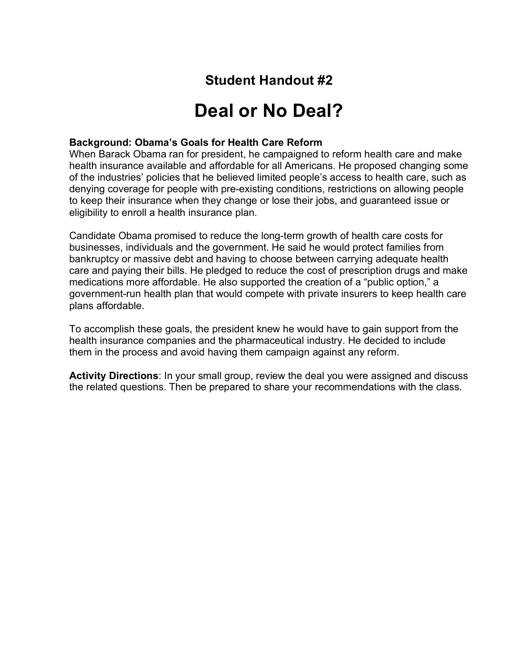## **Student Handout #2**

## **Deal or No Deal?**

## **Background: Obama's Goals for Health Care Reform**

When Barack Obama ran for president, he campaigned to reform health care and make health insurance available and affordable for all Americans. He proposed changing some of the industries' policies that he believed limited people's access to health care, such as denying coverage for people with pre-existing conditions, restrictions on allowing people to keep their insurance when they change or lose their jobs, and guaranteed issue or eligibility to enroll a health insurance plan.

Candidate Obama promised to reduce the long-term growth of health care costs for businesses, individuals and the government. He said he would protect families from bankruptcy or massive debt and having to choose between carrying adequate health care and paying their bills. He pledged to reduce the cost of prescription drugs and make medications more affordable. He also supported the creation of a "public option," a government-run health plan that would compete with private insurers to keep health care plans affordable.

To accomplish these goals, the president knew he would have to gain support from the health insurance companies and the pharmaceutical industry. He decided to include them in the process and avoid having them campaign against any reform.

**Activity Directions**: In your small group, review the deal you were assigned and discuss the related questions. Then be prepared to share your recommendations with the class.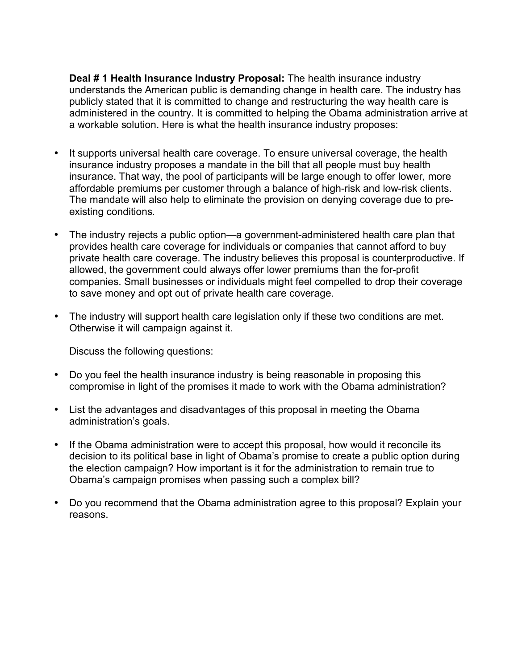**Deal # 1 Health Insurance Industry Proposal:** The health insurance industry understands the American public is demanding change in health care. The industry has publicly stated that it is committed to change and restructuring the way health care is administered in the country. It is committed to helping the Obama administration arrive at a workable solution. Here is what the health insurance industry proposes:

- It supports universal health care coverage. To ensure universal coverage, the health insurance industry proposes a mandate in the bill that all people must buy health insurance. That way, the pool of participants will be large enough to offer lower, more affordable premiums per customer through a balance of high-risk and low-risk clients. The mandate will also help to eliminate the provision on denying coverage due to preexisting conditions.
- The industry rejects a public option—a government-administered health care plan that provides health care coverage for individuals or companies that cannot afford to buy private health care coverage. The industry believes this proposal is counterproductive. If allowed, the government could always offer lower premiums than the for-profit companies. Small businesses or individuals might feel compelled to drop their coverage to save money and opt out of private health care coverage.
- The industry will support health care legislation only if these two conditions are met. Otherwise it will campaign against it.

Discuss the following questions:

- Do you feel the health insurance industry is being reasonable in proposing this compromise in light of the promises it made to work with the Obama administration?
- List the advantages and disadvantages of this proposal in meeting the Obama administration's goals.
- If the Obama administration were to accept this proposal, how would it reconcile its decision to its political base in light of Obama's promise to create a public option during the election campaign? How important is it for the administration to remain true to Obama's campaign promises when passing such a complex bill?
- Do you recommend that the Obama administration agree to this proposal? Explain your reasons.